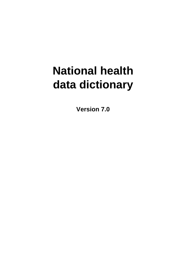# **National health data dictionary**

**Version 7.0**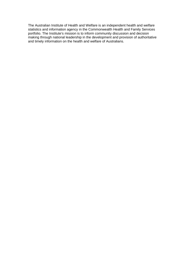The Australian Institute of Health and Welfare is an independent health and welfare statistics and information agency in the Commonwealth Health and Family Services portfolio. The Institute's mission is to inform community discussion and decision making through national leadership in the development and provision of authoritative and timely information on the health and welfare of Australians.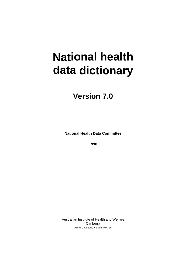# **National health data dictionary**

### **Version 7.0**

**National Health Data Committee**

**1998**

Australian Institute of Health and Welfare Canberra AIHW Catalogue Number HWI 15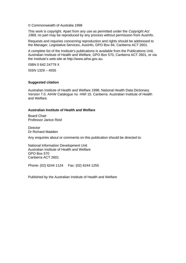© Commonwealth of Australia 1998

This work is copyright. Apart from any use as permitted under the Copyright Act 1968, no part may be reproduced by any process without permission from AusInfo.

Requests and inquiries concerning reproduction and rights should be addressed to the Manager, Legislative Services, AusInfo, GPO Box 84, Canberra ACT 2601.

A complete list of the Institute's publications is available from the Publications Unit, Australian Institute of Health and Welfare, GPO Box 570, Canberra ACT 2601, or via the Institute's web-site at http://www.aihw.gov.au.

ISBN 0 642 24779 X

ISSN 1329 – 4555

#### **Suggested citation**

Australian Institute of Health and Welfare 1998. National Health Data Dictionary. Version 7.0. AIHW Catalogue no. HWI 15. Canberra: Australian Institute of Health and Welfare.

#### **Australian Institute of Health and Welfare**

Board Chair Professor Janice Reid

**Director** Dr Richard Madden

Any enquiries about or comments on this publication should be directed to:

National Information Development Unit Australian Institute of Health and Welfare GPO Box 570 Canberra ACT 2601

Phone: (02) 6244 1124 Fax: (02) 6244 1255

Published by the Australian Institute of Health and Welfare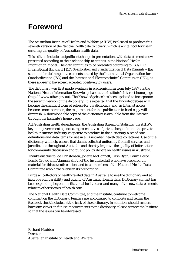# **Foreword**

The Australian Institute of Health and Welfare (AIHW) is pleased to produce this seventh version of the *National health data dictionary*, which is a vital tool for use in ensuring the quality of Australian health data.

This edition includes a significant change in presentation, with data elements now presented according to their relationship to entities in the National Health Information Model. The data continues to be presented according to ISO/IEC International Standard 11179 *Specification and Standardization of Data Elements –* the standard for defining data elements issued by the International Organization for Standardization (ISO) and the International Electrotechnical Commission (IEC), as these appear to have been accepted positively by users.

The dictionary was first made available in electronic form from July 1997 via the National Health Information Knowledgebase at the Institute's Internet home page (http://www.aihw.gov.au). The Knowledgebase has been updated to incorporate the seventh version of the dictionary. It is expected that the Knowledgebase will become the standard form of release for the dictionary and, as Internet access becomes more common, the requirement for this publication in hard copy will diminish. A downloadable copy of the dictionary is available from the Internet through the Institute's home page.

All Australian health departments, the Australian Bureau of Statistics, the AIHW, key non-government agencies, representatives of private hospitals and the private health insurance industry cooperate to produce in the dictionary a set of core definitions and data items for use in all Australian health data collections. Use of the dictionary will help ensure that data is collected uniformly from all services and jurisdictions throughout Australia and thereby improve the quality of information for community discussion and public policy debate on health issues in Australia.

Thanks are due to Joe Christensen, Jonette McDonnell, Trish Ryan, Laura Reece, Bernie Crowe and Alannah Smith of the Institute staff who have prepared the material for this seventh edition, and to all members of the National Health Data Committee who have overseen its preparation.

I urge all collectors of health-related data in Australia to use the dictionary and so improve comparability and quality of Australian health data. Dictionary content has been expanding beyond institutional health care, and many of the new data elements relate to other sectors of health care.

The National Health Data Committee, and the Institute, continue to welcome comment on the dictionary. Readers are encouraged to complete and return the feedback sheet included at the back of the dictionary. In addition, should readers have any views on future improvements to the dictionary, please contact the Institute so that the issues can be addressed.

Richard Madden Director Australian Institute of Health and Welfare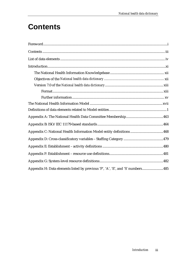# **Contents**

| Appendix H: Data elements listed by previous 'P', 'A', 'E', and 'S' numbers485 |  |
|--------------------------------------------------------------------------------|--|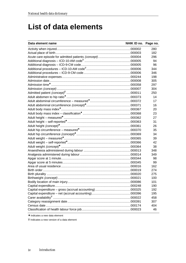# **List of data elements**

| Data element name | NHIK ID no. Page no. |     |
|-------------------|----------------------|-----|
|                   |                      | 280 |
|                   |                      | 182 |
|                   |                      | 296 |
|                   |                      | 94  |
|                   |                      | 96  |
|                   |                      | 344 |
|                   |                      | 346 |
|                   |                      | 198 |
|                   |                      | 305 |
|                   |                      | 297 |
|                   |                      | 304 |
|                   |                      | 250 |
|                   |                      | 14  |
|                   |                      | 17  |
|                   |                      | 16  |
|                   |                      | 20  |
|                   |                      | 23  |
|                   |                      | 27  |
|                   |                      | 31  |
|                   |                      | 26  |
|                   |                      | 35  |
|                   |                      | 34  |
|                   |                      | 39  |
|                   |                      | 42  |
|                   |                      | 38  |
|                   |                      | 348 |
|                   |                      | 349 |
|                   |                      | 98  |
|                   |                      | 99  |
|                   |                      | 162 |
|                   |                      | 274 |
|                   |                      | 275 |
|                   |                      | 100 |
|                   |                      | 101 |
|                   |                      | 190 |
|                   |                      | 192 |
|                   |                      | 195 |
|                   |                      | 458 |
|                   |                      | 307 |
|                   |                      | 404 |
|                   |                      | 46  |

♦ Indicates a new data element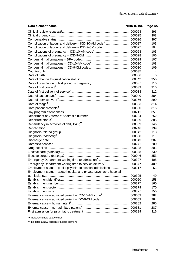| Data element name                                                         | NHIK ID no. Page no. |     |
|---------------------------------------------------------------------------|----------------------|-----|
|                                                                           |                      | 396 |
|                                                                           |                      | 308 |
|                                                                           |                      | 397 |
|                                                                           |                      | 103 |
| Complication of labour and delivery - ICD-9-CM code 000027                |                      | 104 |
|                                                                           |                      | 105 |
|                                                                           |                      | 106 |
|                                                                           |                      | 107 |
|                                                                           |                      | 108 |
|                                                                           |                      | 109 |
|                                                                           |                      | 4   |
|                                                                           |                      | 5   |
|                                                                           |                      | 350 |
|                                                                           |                      | 110 |
|                                                                           |                      | 310 |
|                                                                           |                      | 312 |
|                                                                           |                      | 384 |
|                                                                           |                      | 299 |
|                                                                           |                      | 314 |
|                                                                           |                      | 315 |
|                                                                           |                      | 351 |
|                                                                           |                      | 252 |
|                                                                           |                      | 385 |
|                                                                           |                      | 146 |
|                                                                           |                      | 199 |
|                                                                           |                      | 113 |
|                                                                           |                      | 111 |
|                                                                           |                      | 387 |
|                                                                           |                      | 200 |
|                                                                           |                      | 201 |
|                                                                           |                      | 230 |
|                                                                           |                      | 353 |
|                                                                           |                      | 408 |
| Emergency Department waiting time to service delivery <sup>*</sup> 000347 |                      | 409 |
| Employment status - public psychiatric hospital admissions 000317         |                      | 51  |
| Employment status - acute hospital and private psychiatric hospital       |                      |     |
|                                                                           |                      | 49  |
|                                                                           |                      | 158 |
|                                                                           |                      | 160 |
|                                                                           |                      | 170 |
|                                                                           |                      | 150 |
| External cause - admitted patient - ICD-10-AM code <sup>V</sup> 000053    |                      | 282 |
|                                                                           |                      | 284 |
|                                                                           |                      | 285 |
|                                                                           |                      | 287 |
|                                                                           |                      | 316 |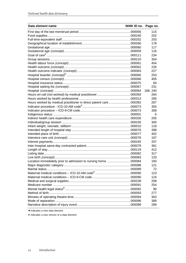| Data element name                                                  | NHIK ID no. Page no. |          |
|--------------------------------------------------------------------|----------------------|----------|
|                                                                    |                      | 115      |
|                                                                    |                      | 202      |
|                                                                    |                      | 203      |
|                                                                    |                      | 178      |
|                                                                    |                      | 117      |
|                                                                    |                      | 116      |
|                                                                    |                      | 234      |
|                                                                    |                      | 354      |
|                                                                    |                      | 454      |
|                                                                    |                      | 226      |
|                                                                    |                      | 227      |
|                                                                    |                      | 253      |
|                                                                    |                      | 405      |
|                                                                    |                      | 84       |
|                                                                    |                      | 231      |
|                                                                    |                      | 166, 240 |
|                                                                    |                      | 264      |
|                                                                    |                      | 265      |
| Hours worked by medical practitioner in direct patient care 000392 |                      | 267      |
|                                                                    |                      | 355      |
|                                                                    |                      | 358      |
|                                                                    |                      | 6        |
|                                                                    |                      | 205      |
|                                                                    |                      | 300      |
|                                                                    |                      | 118      |
|                                                                    |                      | 398      |
|                                                                    |                      | 402      |
|                                                                    |                      | 167      |
|                                                                    |                      | 207      |
|                                                                    |                      | 361      |
|                                                                    |                      | 412      |
|                                                                    |                      | 317      |
|                                                                    |                      | 120      |
| Location immediately prior to admission to nursing home 000084     |                      | 183      |
|                                                                    |                      | 121      |
|                                                                    |                      | 72       |
|                                                                    |                      | 123      |
|                                                                    |                      | 124      |
|                                                                    |                      | 208      |
|                                                                    |                      | 254      |
|                                                                    |                      | 90       |
|                                                                    |                      | 277      |
|                                                                    |                      | 363      |
|                                                                    |                      | 389      |
|                                                                    |                      | 289      |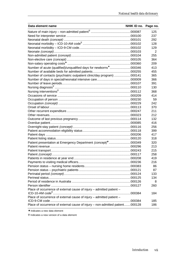| Data element name                                                            | NHIK ID no. Page no. |     |
|------------------------------------------------------------------------------|----------------------|-----|
|                                                                              |                      | 125 |
|                                                                              |                      | 237 |
|                                                                              |                      | 292 |
|                                                                              |                      | 128 |
|                                                                              |                      | 129 |
|                                                                              |                      | 2   |
|                                                                              |                      | 255 |
|                                                                              |                      | 364 |
|                                                                              |                      | 209 |
| Number of acute (qualified)/unqualified days for newborns*000346             |                      | 413 |
|                                                                              |                      | 455 |
| Number of contacts (psychiatric outpatient clinic/day program) 000141        |                      | 365 |
|                                                                              |                      | 366 |
|                                                                              |                      | 391 |
|                                                                              |                      | 130 |
|                                                                              |                      | 368 |
|                                                                              |                      | 414 |
|                                                                              |                      | 59  |
|                                                                              |                      | 242 |
|                                                                              |                      | 370 |
|                                                                              |                      | 211 |
|                                                                              |                      | 212 |
|                                                                              |                      | 132 |
|                                                                              |                      | 416 |
|                                                                              |                      | 256 |
|                                                                              |                      | 399 |
|                                                                              |                      | 417 |
|                                                                              |                      | 318 |
| Patient presentation at Emergency Department (concept) <sup>*</sup> 000349   |                      | 320 |
|                                                                              |                      | 213 |
|                                                                              |                      | 215 |
|                                                                              |                      | 258 |
|                                                                              |                      | 419 |
|                                                                              |                      | 216 |
|                                                                              |                      | 86  |
|                                                                              |                      | 87  |
|                                                                              |                      | 133 |
|                                                                              |                      | 134 |
|                                                                              |                      | 8   |
|                                                                              |                      | 260 |
| Place of occurrence of external cause of injury - admitted patient -         |                      |     |
|                                                                              |                      | 184 |
| Place of occurrence of external cause of injury - admitted patient -         |                      |     |
|                                                                              |                      | 185 |
| Place of occurrence of external cause of injury - non-admitted patient000128 |                      | 186 |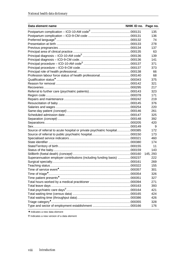| Data element name                                                          | NHIK ID no. | Page no. |
|----------------------------------------------------------------------------|-------------|----------|
|                                                                            |             | 135      |
|                                                                            |             | 136      |
|                                                                            |             | 74       |
|                                                                            |             | 278      |
|                                                                            |             | 137      |
|                                                                            |             | 63       |
|                                                                            |             | 139      |
|                                                                            |             | 141      |
|                                                                            |             | 371      |
|                                                                            |             | 373      |
|                                                                            |             | 66       |
|                                                                            |             | 68       |
|                                                                            |             | 375      |
|                                                                            |             | 321      |
|                                                                            |             | 217      |
|                                                                            |             | 323      |
|                                                                            |             | 171      |
|                                                                            |             | 219      |
|                                                                            |             | 376      |
|                                                                            |             | 220      |
|                                                                            |             | 261      |
|                                                                            |             | 325      |
|                                                                            |             | 392      |
|                                                                            |             | 420      |
|                                                                            |             | 9        |
| Source of referral to acute hospital or private psychiatric hospital000385 |             | 172      |
|                                                                            |             | 173      |
|                                                                            |             | 460      |
|                                                                            |             | 174      |
|                                                                            |             | 11       |
|                                                                            |             | 143      |
|                                                                            |             | 145, 293 |
| Superannuation employer contributions (including funding basis) 000237     |             | 222      |
|                                                                            |             | 269      |
|                                                                            |             | 155      |
|                                                                            |             | 301      |
|                                                                            |             | 326      |
|                                                                            |             | 327      |
|                                                                            |             | 271      |
|                                                                            |             | 393      |
|                                                                            |             | 421      |
|                                                                            |             | 424      |
|                                                                            |             | 426      |
|                                                                            |             | 328      |
|                                                                            |             | 176      |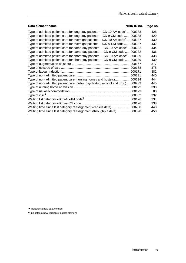| Data element name                                                                                              | NHIK ID no. Page no. |     |
|----------------------------------------------------------------------------------------------------------------|----------------------|-----|
| Type of admitted patient care for long-stay patients $-$ ICD-10-AM code <sup><math>\nabla</math></sup> 000388  |                      | 428 |
| Type of admitted patient care for long-stay patients - ICD-9-CM code 000388                                    |                      | 429 |
| Type of admitted patient care for overnight patients $-$ ICD-10-AM code <sup><math>\nabla</math></sup> 000387  |                      | 430 |
| Type of admitted patient care for overnight patients - ICD-9-CM code 000387                                    |                      | 432 |
| Type of admitted patient care for same-day patients $-$ ICD-10-AM code <sup>V</sup> 000232                     |                      | 434 |
| Type of admitted patient care for same-day patients - ICD-9-CM code 000232                                     |                      | 436 |
| Type of admitted patient care for short-stay patients $-$ ICD-10-AM code <sup><math>\nabla</math></sup> 000389 |                      | 438 |
| Type of admitted patient care for short-stay patients - ICD-9-CM code 000389                                   |                      | 439 |
|                                                                                                                |                      | 377 |
|                                                                                                                |                      | 378 |
|                                                                                                                |                      | 382 |
|                                                                                                                |                      | 440 |
| Type of non-admitted patient care (nursing homes and hostels)000234                                            |                      | 444 |
| Type of non-admitted patient care (public psychiatric, alcohol and drug) 000233                                |                      | 445 |
|                                                                                                                |                      | 330 |
|                                                                                                                |                      | 80  |
|                                                                                                                |                      | 332 |
|                                                                                                                |                      | 334 |
|                                                                                                                |                      | 338 |
| Waiting time since last category reassignment (census data) 000268                                             |                      | 448 |
| Waiting time since last category reassignment (throughput data) 000390                                         |                      | 450 |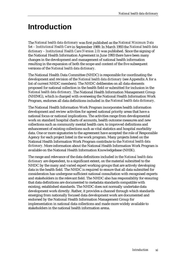# **Introduction**

The *National health data dictionary* was first published as the *National Minimum Data Set – Institutional Health Care* in September 1989. In March 1993 the *National health data dictionary – Institutional Health Care (Version 2.0)* was published. Since the signing of the National Health Information Agreement in June 1993 there have been many changes in the development and management of national health information resulting in the expansion of both the scope and content of the five subsequent versions of the *National health data dictionary*.

The National Health Data Committee (NHDC) is responsible for coordinating the development and revision of the *National health data dictionary* (see Appendix A for a list of current NHDC members). The NHDC deliberates on all data elements proposed for national collection in the health field or submitted for inclusion in the *National health data dictionary*. The National Health Information Management Group (NHIMG), which is charged with overseeing the National Health Information Work Program, endorses all data definitions included in the *National health data dictionary*.

The National Health Information Work Program incorporates health information development and review activities for agreed national priority areas that have a national focus or national implications. The activities range from developmental work on standard hospital charts of accounts, health outcome measures and new collections such as community mental health care, to improved definitions and enhancement of existing collections such as vital statistics and hospital morbidity data. One or more signatories to the agreement have accepted the role of Responsible Agency for each project listed in the work program. Many projects listed on the National Health Information Work Program contribute to the *National health data dictionary*. More information about the National Health Information Work Program is available on the National Health Information Knowledgebase (NHIK).

The range and relevance of the data definitions included in the *National health data dictionary* are dependent, to a significant extent, on the material submitted to the NHDC by the many and varied expert working groups that are actively developing data in the health field. The NHDC is required to ensure that all data submitted for consideration has undergone sufficient national consultation with recognised experts and stakeholders in the relevant field. The NHDC also has responsibility for ensuring that data definitions are documented to metadata standards compatible with existing, established standards. The NHDC does not normally undertake data development work directly. Rather, it provides a channel through which standards emerging from nationally focused data development work are documented and endorsed by the National Health Information Management Group for implementation in national data collections and made more widely available to stakeholders in the national health information arena.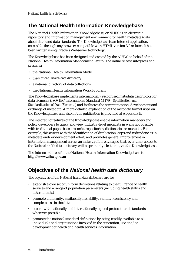### **The National Health Information Knowledgebase**

The National Health Information Knowledgebase, or NHIK, is an electronic repository and information management environment for health metadata (data about data) and data standards. The Knowledgebase is an Internet application, accessible through any browser compatible with HTML version 3.2 or later. It has been written using Oracle's Webserver technology.

The Knowledgebase has been designed and created by the AIHW on behalf of the National Health Information Management Group. The initial release integrates and presents:

- the National Health Information Model
- the *National health data dictionary*
- a national directory of data collections
- the National Health Information Work Program.

The Knowledgebase implements internationally recognised metadata descriptors for data elements (ISO/IEC International Standard 11179 *– Specification and Standardization of Data Elements*) and facilitates the communication, development and exchange of metadata. A more detailed explanation of the metadata format used on the Knowledgebase and also in this publication is provided at Appendix B.

The integrating features of the Knowledgebase enable information managers and policy developers to query and view industry-level metadata in ways not possible with traditional paper-based records, repositories, dictionaries or manuals. For example, this assists with the identification of duplication, gaps and redundancies in metadata and/or development effort, and promotes general improvement in information management across an industry. It is envisaged that, over time, access to the *National health data dictionary* will be primarily electronic, via the Knowledgebase.

The Internet address for the National Health Information Knowledgebase is **http://www.aihw.gov.au**

### **Objectives of the National health data dictionary**

The objectives of the *National health data dictionary* are to:

- $\bullet~\,$  establish a core set of uniform definitions relating to the full range of health services and a range of population parameters (including health status and determinants)
- promote uniformity, availability, reliability, validity, consistency and completeness in the data
- accord with nationally and internationally agreed protocols and standards, wherever possible
- promote the national standard definitions by being readily available to all individuals and organisations involved in the generation, use and/or development of health and health services information.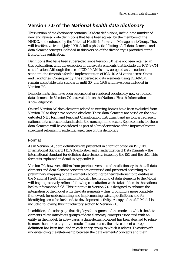### **Version 7.0 of the National health data dictionary**

This version of the dictionary contains 230 data definitions, including a number of new and revised data definitions that have been agreed by the members of the NHDC, and endorsed by the National Health Information Management Group. They will be effective from 1 July 1998. A full alphabetical listing of all data elements and data element concepts included in this version of the dictionary is provided at the front of this publication.

Definitions that have been superseded since Version 6.0 have not been retained in this publication, with the exception of those data elements that include the ICD-9-CM classification. Although the use of ICD-10-AM is now accepted as the national standard, the timetable for the implementation of ICD-10-AM varies across States and Territories. Consequently, the superseded data elements using ICD-9-CM remain acceptable data standards until 30 June 1999 and have been included in Version 7.0.

Data elements that have been superseded or rendered obsolete by new or revised data elements in Version 7.0 are available on the National Health Information Knowledgebase.

Several Version 6.0 data elements related to nursing homes have been excluded from Version 7.0 as they have become obsolete. These data elements are based on the now outdated NH5 form and Resident Classification Instrument and no longer represent national data collection standards in the nursing home sector. Replacements for these data elements will be considered as part of a broader review of the impact of recent structural reforms in residential aged care on the dictionary.

#### **Format**

As in Version 6.0, data definitions are presented in a format based on ISO/IEC International Standard 11179 *Specification and Standardization of Data Elements* – the international standard for defining data elements issued by the ISO and the IEC. This format is explained in detail in Appendix B.

Version 7.0, however, differs from previous versions of the dictionary in that all data elements and data element concepts are organised and presented according to a preliminary mapping of data elements according to their relationship to entities in the National Health Information Model. The mapping of data elements to the Model will be progressively refined following consultation with stakeholders in the national health information field. This initiative in Version 7.0 is designed to enhance the integration of the model with the data elements – thus providing a more complete framework for understanding and implementing existing definitions and for identifying areas for further data development activity. A copy of the full Model is included following this introductory section to Version 7.0.

In addition, a header page that displays the segment of the model to which the data elements relate introduces groups of data elements/concepts associated with an entity in the model. In a few cases, a data element concept has been deemed to relate to more than one entity in the model. In such cases, the data element concept definition has been included in each entity group to which it relates. To assist with understanding the relationship between the data elements/concepts and their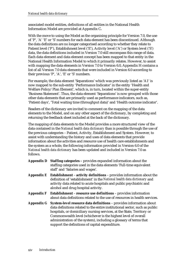associated model entities, definitions of all entities in the National Health Information Model are provided at Appendix C*.*

With the move to using the Model as the organising principle for Version 7.0, the use of 'P', 'A' 'E' or 'S' numbers for each data element has been discontinued. Although the data definitions are no longer categorised according to whether they relate to Patient level ('P'), Establishment level ('E'), Activity level ('A') or System level ('S') data, the data definitions included in Version 7.0 still encompass this range of data. Each data element and data element concept has been mapped to that entity in the National Health Information Model to which it primarily relates. However, to assist with mapping the data elements in Version 7.0 to Version 6.0, Appendix H contains a list of all Version 7.0 data elements that were included in Version 6.0 according to their previous 'P', 'A', 'E' or 'S' numbers.

For example, the data element 'Separations' which was previously listed as 'A1' is now mapped to the sub-entity 'Performance Indicator' in the entity 'Health and Welfare Policy/Plan Element', which is, in turn, located within the super-entity 'Business Statement'. Thus, the data element 'Separations' is now grouped with those other data elements that are primarily used as performance indicators, such as, 'Patient days', 'Total waiting time (throughput data)' and 'Health outcome indicator'.

Readers of the dictionary are invited to comment on the mapping of the data elements to the Model, and on any other aspect of the dictionary, by completing and returning the feedback sheet included at the back of the dictionary.

The mapping of data elements to the Model provides a more structured view of the data contained in the *National health data dictionary* than is possible through the use of the previous categories – Patient, Activity, Establishment and System. However, to assist with understanding the history and uses of data elements that provide information about the activities and resource use of health care establishments and the system as a whole, the following information provided in Version 6.0 of the *National health data dictionary* has been updated and included in Version 7.0 as follows.

| Appendix D | <b>Staffing categories - provides expanded information about the</b><br>staffing categories used in the data elements 'Full-time equivalent<br>staff' and 'Salaries and wages'.                                                                                                                                                                                                                                              |
|------------|------------------------------------------------------------------------------------------------------------------------------------------------------------------------------------------------------------------------------------------------------------------------------------------------------------------------------------------------------------------------------------------------------------------------------|
| Appendix E | <b>Establishment – activity definitions – provides information about the</b><br>definition of 'establishment' in the National health data dictionary and<br>activity data related to acute hospitals and public psychiatric and<br>alcohol and drug hospital activity.                                                                                                                                                       |
| Appendix F | <b>Establishment – resource use definitions – provides information</b><br>about data definitions related to the use of resources in health services.                                                                                                                                                                                                                                                                         |
| Appendix G | <b>System-level resource data definitions</b> – provides information about<br>data definitions related to the entire institutional sector, such as public<br>hospitals, or domiciliary nursing services, at the State, Territory or<br>Commonwealth level (whichever is the highest level of overall<br>administration of the system), including a glossary of terms that<br>support the definitions of capital expenditure. |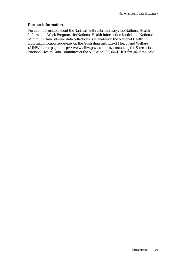#### **Further information**

Further information about the *National health data dictionary*, the National Health Information Work Program, the National Health Information Model and National Minimum Data Sets and data collections is available on the National Health Information Knowledgebase on the Australian Institute of Health and Welfare (AIHW) home page – http://www.aihw.gov.au **–** or by contacting the Secretariat, National Health Data Committee at the AIHW on (02) 6244 1109, fax (02) 6244 1255.